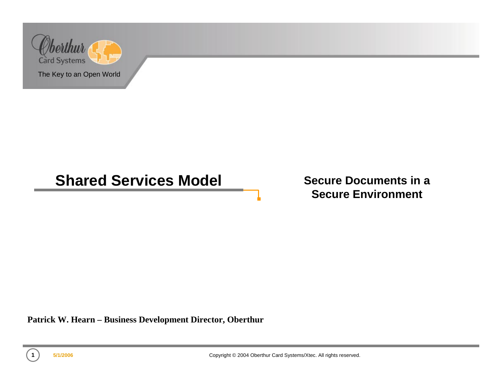

#### **Shared Services Model**

**Secure Documents in a Secure Environment**

**Patrick W. Hearn – Business Development Director, Oberthur**

**1**

**5/1/2006 Copyright © 2004 Oberthur Card Systems/Xtec. All rights reserved.** 

n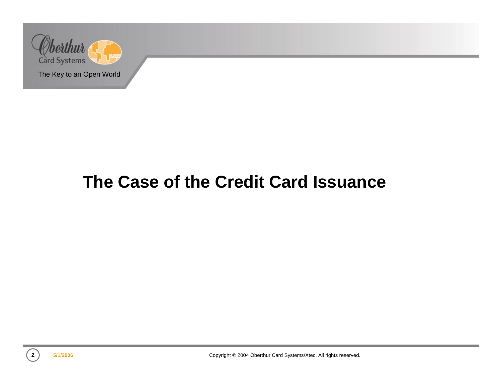

## **The Case of the Credit Card Issuance**

**2**

**5/1/2006 Copyright © 2004 Oberthur Card Systems/Xtec. All rights reserved.**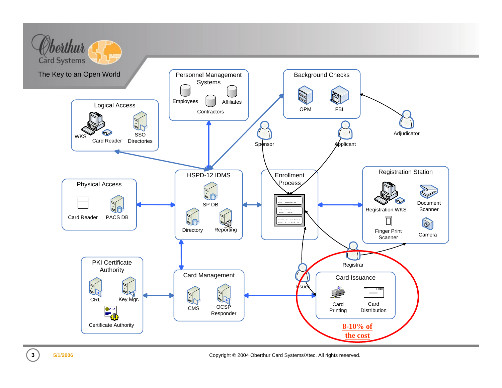

**5/1/2006** Copyright © 2004 Oberthur Card Systems/Xtec. All rights reserved.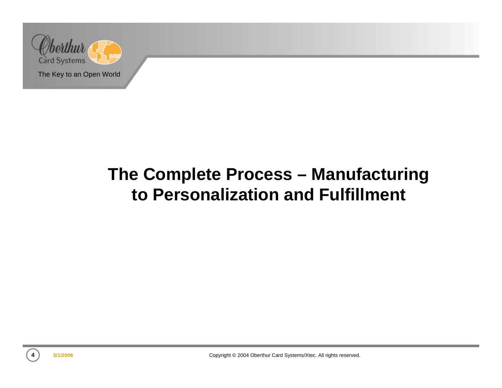

# **The Complete Process – Manufacturing to Personalization and Fulfillment**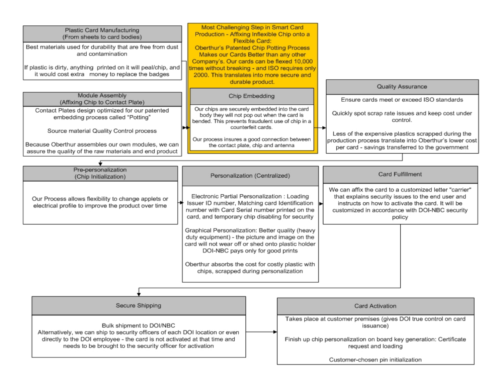| Production - Affixing Inflexible Chip onto a<br>(From sheets to card bodies)<br>Flexible Card:<br>Best materials used for durability that are free from dust<br>Oberthur's Patented Chip Potting Process<br>and contamination<br>Makes our Cards Better than any other<br>Company's. Our cards can be flexed 10,000<br>If plastic is dirty, anything printed on it will peal/chip, and<br>times without breaking - and ISO requires only<br>it would cost extra money to replace the badges<br>2000. This translates into more secure and<br>durable product.<br><b>Quality Assurance</b><br>Module Assembly<br>Chip Embedding<br>Ensure cards meet or exceed ISO standards<br>(Affixing Chip to Contact Plate)<br>Our chips are securely embedded into the card<br>Contact Plates design optimized for our patented<br>Quickly spot scrap rate issues and keep cost under<br>body they will not pop out when the card is<br>embedding process called "Potting"<br>control.<br>bended. This prevents fraudulent use of chip in a |  |
|----------------------------------------------------------------------------------------------------------------------------------------------------------------------------------------------------------------------------------------------------------------------------------------------------------------------------------------------------------------------------------------------------------------------------------------------------------------------------------------------------------------------------------------------------------------------------------------------------------------------------------------------------------------------------------------------------------------------------------------------------------------------------------------------------------------------------------------------------------------------------------------------------------------------------------------------------------------------------------------------------------------------------------|--|
| counterfeit cards.<br>Source material Quality Control process<br>Less of the expensive plastics scrapped during the<br>Our process insures a good connection between<br>production process translate into Oberthur's lower cost<br>Because Oberthur assembles our own modules, we can<br>the contact plate, chip and antenna<br>per card - savings transferred to the government<br>assure the quality of the raw materials and end product                                                                                                                                                                                                                                                                                                                                                                                                                                                                                                                                                                                      |  |
|                                                                                                                                                                                                                                                                                                                                                                                                                                                                                                                                                                                                                                                                                                                                                                                                                                                                                                                                                                                                                                  |  |
| Pre-personalization<br><b>Card Fulfillment</b><br>Personalization (Centralized)<br>(Chip Initialization)                                                                                                                                                                                                                                                                                                                                                                                                                                                                                                                                                                                                                                                                                                                                                                                                                                                                                                                         |  |
| We can affix the card to a customized letter "carrier"<br>Electronic Partial Personalization : Loading<br>that explains security issues to the end user and<br>Our Process allows flexibility to change applets or<br>Issuer ID number, Matching card Identification  ▶<br>instructs on how to activate the card. It will be<br>electrical profile to improve the product over time<br>number with Card Serial number printed on the<br>customized in accordance with DOI-NBC security<br>card, and temporary chip disabling for security<br>policy                                                                                                                                                                                                                                                                                                                                                                                                                                                                              |  |
| Graphical Personalization: Better quality (heavy<br>duty equipment) - the picture and image on the<br>card will not wear off or shed onto plastic holder<br>DOI-NBC pays only for good prints<br>Oberthur absorbs the cost for costly plastic with<br>chips, scrapped during personalization                                                                                                                                                                                                                                                                                                                                                                                                                                                                                                                                                                                                                                                                                                                                     |  |
|                                                                                                                                                                                                                                                                                                                                                                                                                                                                                                                                                                                                                                                                                                                                                                                                                                                                                                                                                                                                                                  |  |
| Secure Shipping<br>Card Activation                                                                                                                                                                                                                                                                                                                                                                                                                                                                                                                                                                                                                                                                                                                                                                                                                                                                                                                                                                                               |  |
| Takes place at customer premises (gives DOI true control on card<br>Bulk shipment to DOI/NBC<br>issuance)<br>Alternatively, we can ship to security officers of each DOI location or even<br>directly to the DOI employee - the card is not activated at that time and<br>Finish up chip personalization on board key generation: Certificate<br>needs to be brought to the security officer for activation<br>request and loading<br>Customer-chosen pin initialization                                                                                                                                                                                                                                                                                                                                                                                                                                                                                                                                                         |  |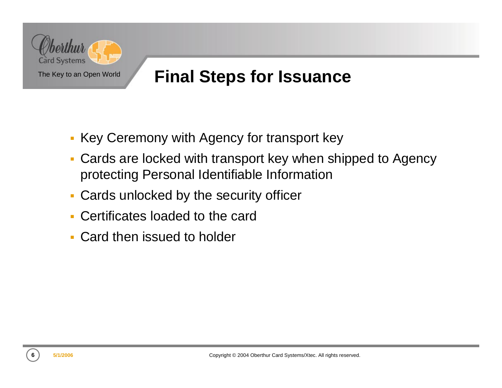

## **Final Steps for Issuance**

- **Key Ceremony with Agency for transport key**
- Cards are locked with transport key when shipped to Agency protecting Personal Identifiable Information
- Cards unlocked by the security officer
- Certificates loaded to the card
- Card then issued to holder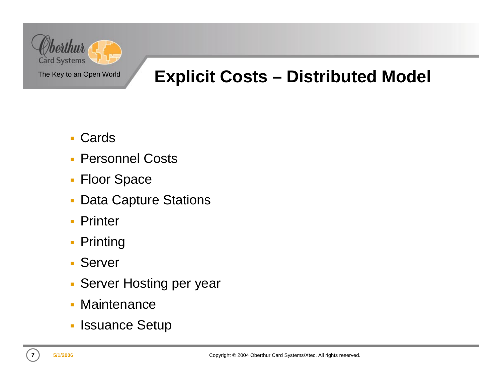

## **Explicit Costs – Distributed Model**

- m. Cards
- **Personnel Costs**
- **Floor Space**
- $\overline{\phantom{a}}$ Data Capture Stations
- ×. Printer
- **Printing**
- Server
- **Server Hosting per year**
- Maintenance
- **Issuance Setup**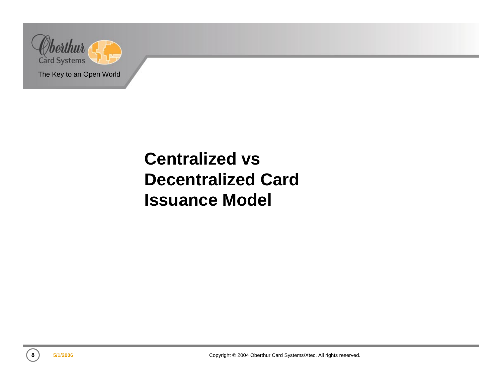

# **Centralized vs Decentralized Card Issuance Model**

**8**

**5/1/2006 Copyright © 2004 Oberthur Card Systems/Xtec. All rights reserved.**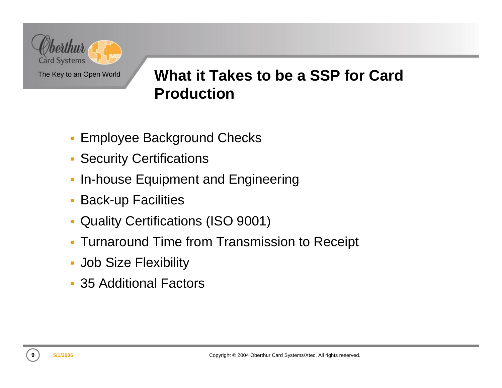

### **What it Takes to be a SSP for Card Production**

- **Employee Background Checks**
- **Security Certifications**
- $\blacksquare$ In-house Equipment and Engineering
- **Back-up Facilities**
- $\overline{\phantom{a}}$ Quality Certifications (ISO 9001)
- $\mathbf{r}$ Turnaround Time from Transmission to Receipt
- Job Size Flexibility
- 35 Additional Factors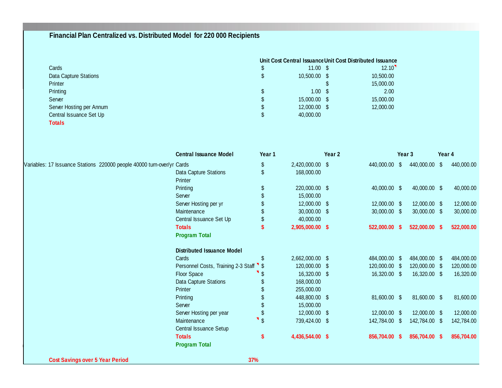#### **Financial Plan Centralized vs. Distributed Model for 220 000 Recipients**

|                          | Unit Cost Central Issuance Unit Cost Distributed Issuance |                     |           |  |  |
|--------------------------|-----------------------------------------------------------|---------------------|-----------|--|--|
| Cards                    |                                                           | $11.00 \text{ }$ \$ | 12.10     |  |  |
| Data Capture Stations    | \$                                                        | 10.500.00 \$        | 10,500.00 |  |  |
| Printer                  |                                                           |                     | 15,000.00 |  |  |
| Printing                 | \$                                                        | $1.00 \text{ }$ \$  | 2.00      |  |  |
| Server                   | \$                                                        | 15,000.00 \$        | 15,000.00 |  |  |
| Server Hosting per Annum | \$                                                        | 12,000.00 \$        | 12,000.00 |  |  |
| Central Issuance Set Up  | \$                                                        | 40,000.00           |           |  |  |
| Totals                   |                                                           |                     |           |  |  |

|                                                                        | <b>Central Issuance Model</b>       | Year 1            |                 | Year 2 |               |      | Year 3        | Year 4 |            |
|------------------------------------------------------------------------|-------------------------------------|-------------------|-----------------|--------|---------------|------|---------------|--------|------------|
| Variables: 17 Issuance Stations 220000 people 40000 turn-over/yr Cards |                                     | \$                | 2,420,000.00 \$ |        | 440,000.00    | \$   | 440,000.00    | \$     | 440,000.00 |
|                                                                        | Data Capture Stations               | \$                | 168,000.00      |        |               |      |               |        |            |
|                                                                        | Printer                             |                   |                 |        |               |      |               |        |            |
|                                                                        | Printing                            | \$                | 220,000.00 \$   |        | 40,000.00 \$  |      | 40,000.00 \$  |        | 40,000.00  |
|                                                                        | Server                              |                   | 15,000.00       |        |               |      |               |        |            |
|                                                                        | Server Hosting per yr               |                   | 12,000.00 \$    |        | 12,000.00 \$  |      | 12,000.00 \$  |        | 12,000.00  |
|                                                                        | Maintenance                         |                   | 30,000.00 \$    |        | 30,000.00 \$  |      | 30,000.00 \$  |        | 30,000.00  |
|                                                                        | Central Issuance Set Up             |                   | 40,000.00       |        |               |      |               |        |            |
|                                                                        | <b>Totals</b>                       |                   | 2,905,000.00 \$ |        | 522,000.00 \$ |      | 522,000.00 \$ |        | 522,000.00 |
|                                                                        | <b>Program Total</b>                |                   |                 |        |               |      |               |        |            |
|                                                                        | <b>Distributed Issuance Model</b>   |                   |                 |        |               |      |               |        |            |
|                                                                        | Cards                               | \$                | 2,662,000.00 \$ |        | 484,000.00 \$ |      | 484,000.00 \$ |        | 484,000.00 |
|                                                                        | Personnel Costs, Training 2-3 Staff |                   | 120,000.00 \$   |        | 120,000.00 \$ |      | 120,000.00    |        | 120,000.00 |
|                                                                        | Floor Space                         |                   | 16,320.00 \$    |        | 16,320.00 \$  |      | 16,320.00 \$  |        | 16,320.00  |
|                                                                        | Data Capture Stations               |                   | 168,000.00      |        |               |      |               |        |            |
|                                                                        | Printer                             |                   | 255,000.00      |        |               |      |               |        |            |
|                                                                        | Printing                            |                   | 448,800.00 \$   |        | 81,600.00 \$  |      | 81,600.00 \$  |        | 81,600.00  |
|                                                                        | Server                              |                   | 15,000.00       |        |               |      |               |        |            |
|                                                                        | Server Hosting per year             | \$                | 12,000.00 \$    |        | 12,000.00 \$  |      | 12,000.00 \$  |        | 12,000.00  |
|                                                                        | Maintenance                         | п<br>$\mathbb{S}$ | 739,424.00 \$   |        | 142,784.00    | - 56 | 142,784.00 \$ |        | 142,784.00 |
|                                                                        | Central Issuance Setup              |                   |                 |        |               |      |               |        |            |
|                                                                        | <b>Totals</b>                       | \$                | 4,436,544.00 \$ |        | 856,704.00    |      | 856,704.00 \$ |        | 856,704.00 |
|                                                                        | <b>Program Total</b>                |                   |                 |        |               |      |               |        |            |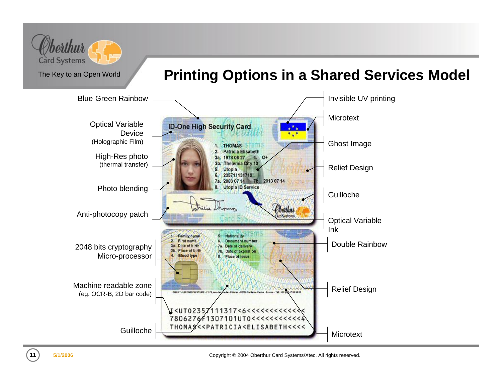

### **Printing Options in a Shared Services Model**



**5/1/2006** Copyright © 2004 Oberthur Card Systems/Xtec. All rights reserved.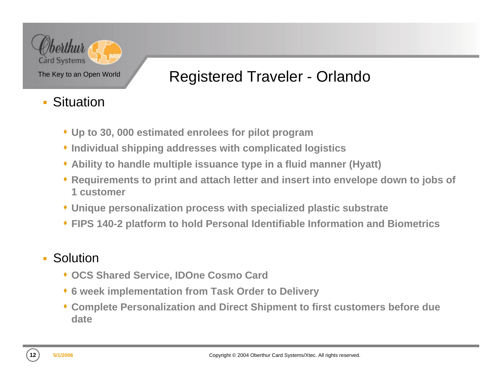

### Registered Traveler - Orlando

- m. **Situation** 
	- **Up to 30, 000 estimated enrolees for pilot program**
	- **Individual shipping addresses with complicated logistics**
	- **Ability to handle multiple issuance type in a fluid manner (Hyatt)**
	- **Requirements to print and attach letter and insert into envelope down to jobs of 1 customer**
	- **Unique personalization process with specialized plastic substrate**
	- **FIPS 140-2 platform to hold Personal Identifiable Information and Biometrics**

#### m. Solution

- **OCS Shared Service, IDOne Cosmo Card**
- **6 week implementation from Task Order to Delivery**
- **Complete Personalization and Direct Shipment to first customers before due date**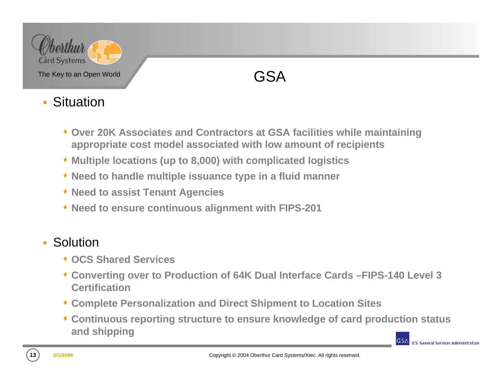

### GSA

#### m. **Situation**

- **Over 20K Associates and Contractors at GSA facilities while maintaining appropriate cost model associated with low amount of recipients**
- **Multiple locations (up to 8,000) with complicated logistics**
- **Need to handle multiple issuance type in a fluid manner**
- **Need to assist Tenant Agencies**
- **Need to ensure continuous alignment with FIPS-201**

#### $\blacksquare$ Solution

- **OCS Shared Services**
- **Converting over to Production of 64K Dual Interface Cards –FIPS-140 Level 3 Certification**
- **Complete Personalization and Direct Shipment to Location Sites**
- **Continuous reporting structure to ensure knowledge of card production status and shipping**

**U.S. General Services Administration** 

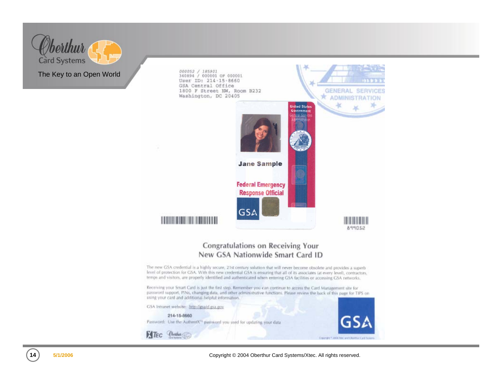



**5/1/2006** Copyright © 2004 Oberthur Card Systems/Xtec. All rights reserved.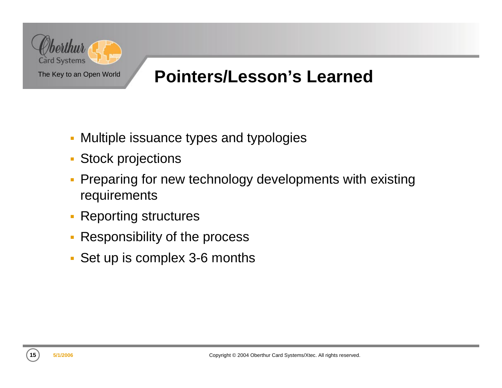

## **Pointers/Lesson's Learned**

- Multiple issuance types and typologies
- Stock projections
- $\overline{\phantom{a}}$  Preparing for new technology developments with existing requirements
- $\blacksquare$ Reporting structures
- $\blacksquare$ Responsibility of the process
- Set up is complex 3-6 months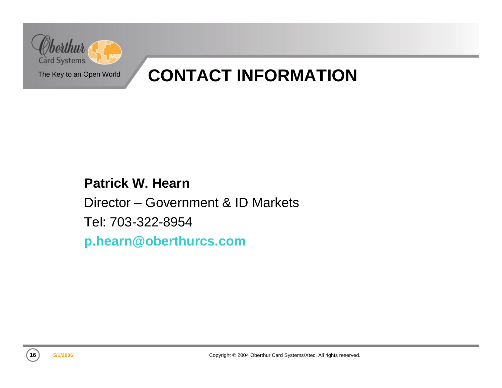

## **CONTACT INFORMATION**

#### **Patrick W. Hearn**

Director – Government & ID Markets

Tel: 703-322-8954

**p.hearn@oberthurcs.com**